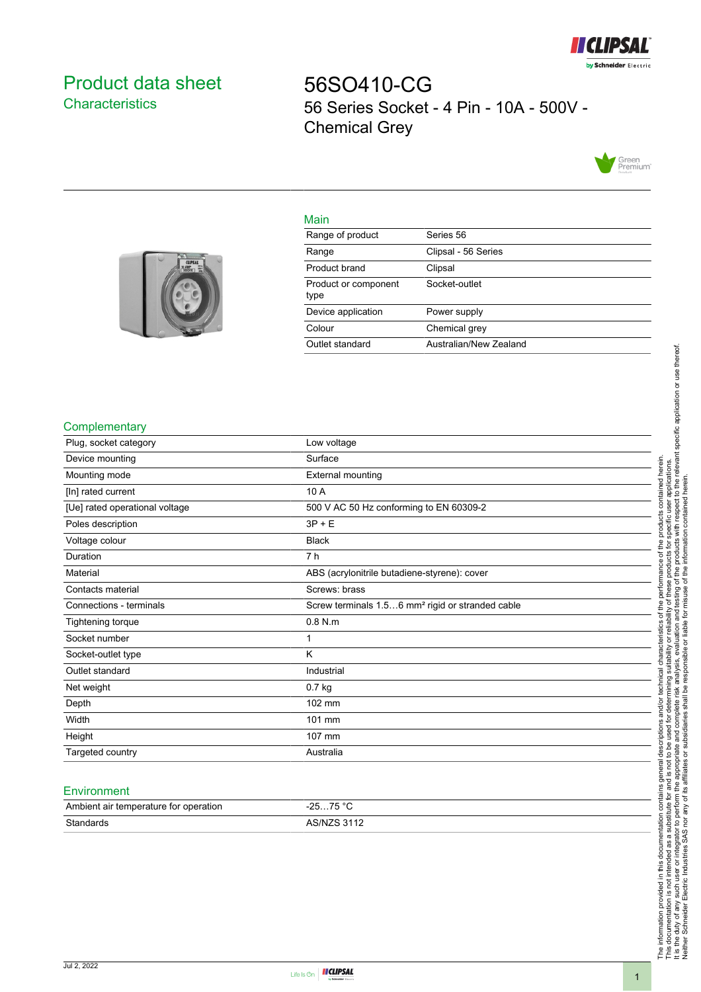

# <span id="page-0-0"></span>Product data sheet **Characteristics**

56SO410-CG 56 Series Socket - 4 Pin - 10A - 500V - Chemical Grey



## Main

| Range of product             | Series 56              |
|------------------------------|------------------------|
| Range                        | Clipsal - 56 Series    |
| Product brand                | Clipsal                |
| Product or component<br>type | Socket-outlet          |
| Device application           | Power supply           |
| Colour                       | Chemical grey          |
| Outlet standard              | Australian/New Zealand |
|                              |                        |



## **Complementary**

| Plug, socket category          | Low voltage                                                  |
|--------------------------------|--------------------------------------------------------------|
| Device mounting                | Surface                                                      |
| Mounting mode                  | <b>External mounting</b>                                     |
| [In] rated current             | 10 A                                                         |
| [Ue] rated operational voltage | 500 V AC 50 Hz conforming to EN 60309-2                      |
| Poles description              | $3P + E$                                                     |
| Voltage colour                 | <b>Black</b>                                                 |
| Duration                       | 7 h                                                          |
| Material                       | ABS (acrylonitrile butadiene-styrene): cover                 |
| Contacts material              | Screws: brass                                                |
| Connections - terminals        | Screw terminals 1.56 mm <sup>2</sup> rigid or stranded cable |
| Tightening torque              | $0.8$ N.m                                                    |
| Socket number                  | 1                                                            |
| Socket-outlet type             | K                                                            |
| Outlet standard                | Industrial                                                   |
| Net weight                     | 0.7 kg                                                       |
| Depth                          | 102 mm                                                       |
| Width                          | 101 mm                                                       |
| Height                         | 107 mm                                                       |
| Targeted country               | Australia                                                    |
|                                |                                                              |

#### **Environment**

| Ambient air temperature for operation | 75 °C<br>った<br>،-  |
|---------------------------------------|--------------------|
| Standards                             | <b>AS/NZS 3112</b> |